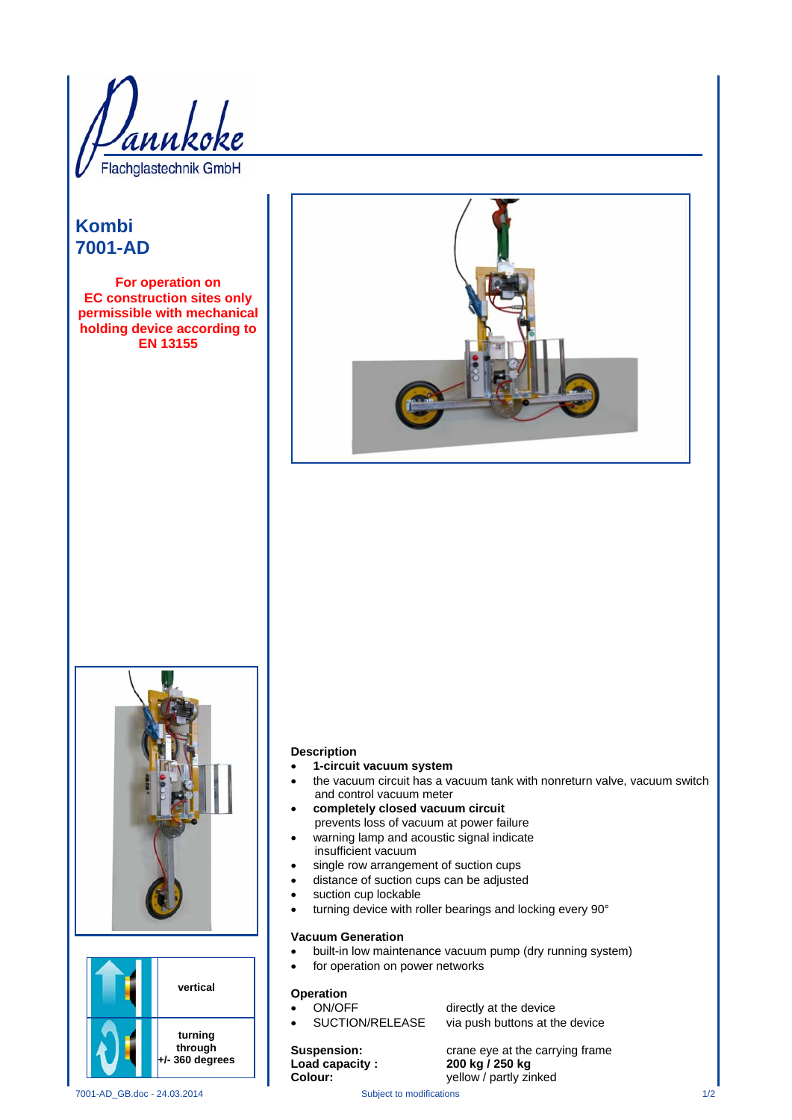Flachglastechnik GmbH

# **Kombi 7001-AD**

**For operation on EC construction sites only permissible with mechanical holding device according to EN 13155** 







#### **Description**

- **1-circuit vacuum system**
- the vacuum circuit has a vacuum tank with nonreturn valve, vacuum switch and control vacuum meter
- **completely closed vacuum circuit**  prevents loss of vacuum at power failure
- warning lamp and acoustic signal indicate insufficient vacuum
- single row arrangement of suction cups
- distance of suction cups can be adjusted
- suction cup lockable
- turning device with roller bearings and locking every 90°

### **Vacuum Generation**

- built-in low maintenance vacuum pump (dry running system)
	- for operation on power networks

### **Operation**

ON/OFF directly at the device

SUCTION/RELEASE via push buttons at the device

**Suspension: Calculary External crane eye at the carrying frame Load capacity : 200 kg / 250 kg<br>
<b>Colour:** yellow / partly zir yellow / partly zinked